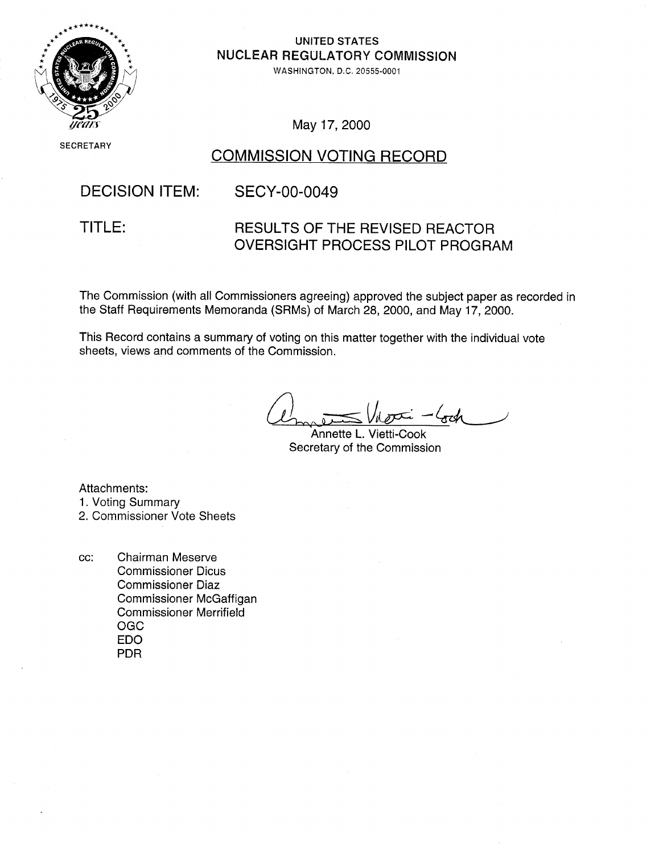

## UNITED STATES NUCLEAR REGULATORY COMMISSION

WASHINGTON. D.C. 20555-0001

May 17, 2000

**SECRETARY** 

# COMMISSION VOTING RECORD

## DECISION ITEM:

## SECY-00-0049

TITLE:

## RESULTS OF THE REVISED REACTOR OVERSIGHT PROCESS PILOT PROGRAM

The Commission (with all Commissioners agreeing) approved the subject paper as recorded in the Staff Requirements Memoranda (SRMs) of March 28, 2000, and May 17, 2000.

This Record contains a summary of voting on this matter together with the individual vote sheets, views and comments of the Commission.

Annette L. Vietti-Cook Secretary of the Commission

Attachments:

1. Voting Summary

2. Commissioner Vote Sheets

cc: Chairman Meserve Commissioner Dicus Commissioner Diaz Commissioner McGaffigan Commissioner Merrifield OGC EDO PDR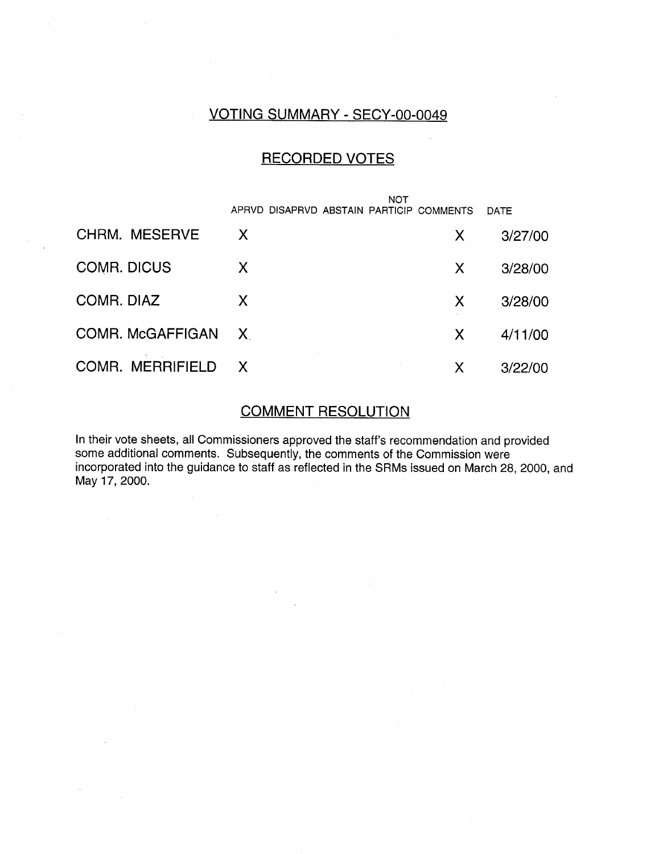# VOTING SUMMARY - SECY-00-0049

## RECORDED VOTES

|                         | NOT                                      |              |         |
|-------------------------|------------------------------------------|--------------|---------|
|                         | APRVD DISAPRVD ABSTAIN PARTICIP COMMENTS |              | DATE    |
| CHRM. MESERVE           | X                                        | $\mathsf{X}$ | 3/27/00 |
| <b>COMR. DICUS</b>      | X                                        | X            | 3/28/00 |
| COMR. DIAZ              | X                                        | X            | 3/28/00 |
| COMR. McGAFFIGAN X      |                                          | X            | 4/11/00 |
| <b>COMR. MERRIFIELD</b> | X,                                       | X            | 3/22/00 |

## COMMENT RESOLUTION

In their vote sheets, all Commissioners approved the staff's recommendation and provided some additional comments. Subsequently, the comments of the Commission were incorporated into the guidance to staff as reflected in the SRMs issued on March 28, 2000, and May 17, 2000.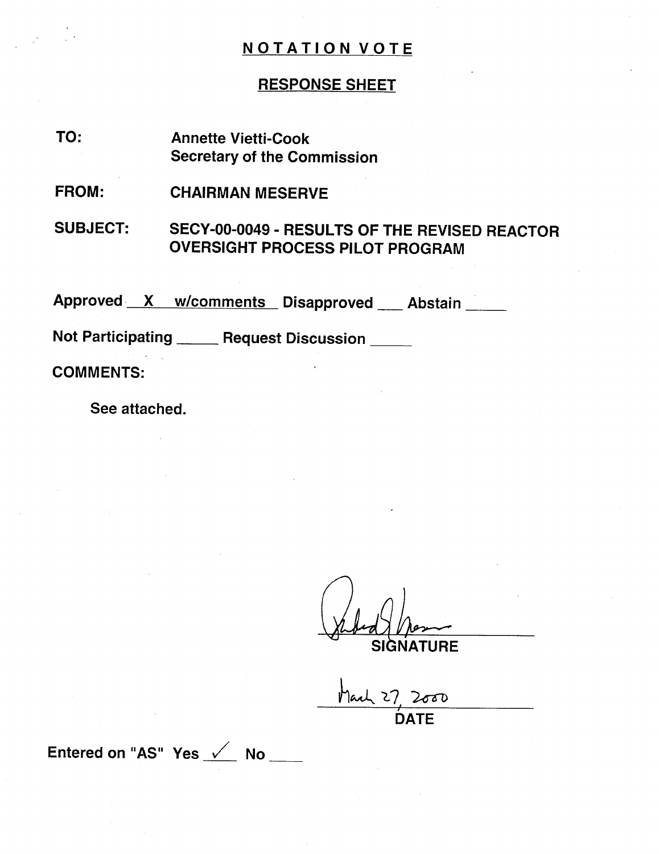## RESPONSE SHEET

- TO: Annette Vietti-Cook Secretary of the Commission
- FROM: CHAIRMAN MESERVE

SUBJECT: SECY-00-0049 - RESULTS OF THE REVISED REACTOR OVERSIGHT PROCESS PILOT PROGRAM

Approved X w/comments Disapproved Abstair

Not Participating \_\_\_\_\_ Request Discussion \_\_\_\_

COMMENTS:

See attached.

SIGNATURE

Mark 27, 2000 DATE

Entered on "AS" Yes <u>V</u> No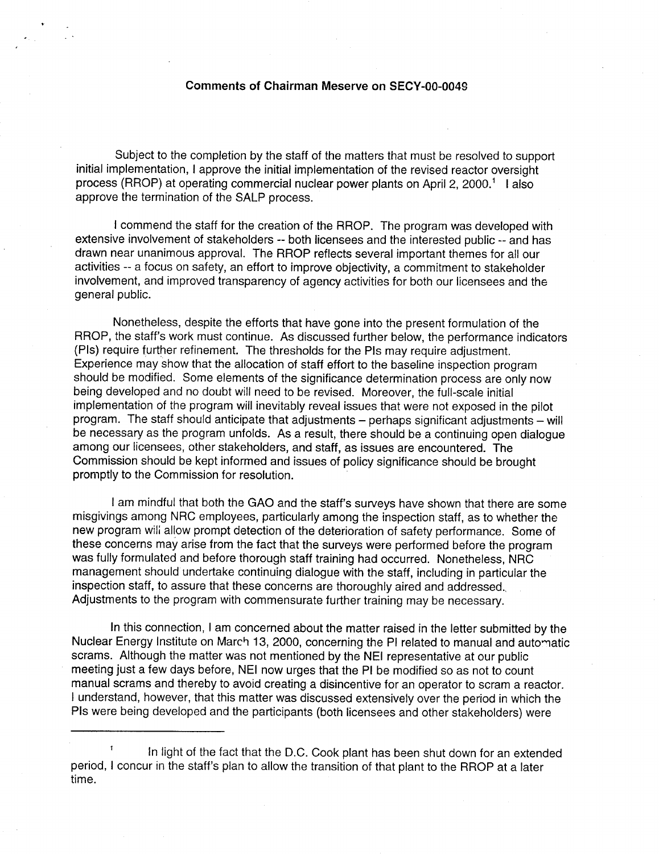#### Comments of Chairman Meserve on SECY-O0-0049

Subject to the completion by the staff of the matters that must be resolved to support initial implementation, I approve the initial implementation of the revised reactor oversight process (RROP) at operating commercial nuclear power plants on April 2, 2000.<sup>1</sup> Lalso approve the termination of the SALP process.

I commend the staff for the creation of the RROP. The program was developed with extensive involvement of stakeholders -- both licensees and the interested public -- and has drawn near unanimous approval. The RROP reflects several important themes for all our activities -- a focus on safety, an effort to improve objectivity, a commitment to stakeholder involvement, and improved transparency of agency activities for both our licensees and the general public.

Nonetheless, despite the efforts that have gone into the present formulation of the RROP, the staff's work must continue. As discussed further below, the performance indicators (PIs) require further refinement. The thresholds for the PIs may require adjustment. Experience may show that the allocation of staff effort to the baseline inspection program should be modified. Some elements of the significance determination process are only now being developed and no doubt will need to be revised. Moreover, the full-scale initial implementation of the program will inevitably reveal issues that were not exposed in the pilot program. The staff should anticipate that adjustments - perhaps significant adjustments - will be necessary as the program unfolds. As a result, there should be a continuing open dialogue among our licensees, other stakeholders, and staff, as issues are encountered. The Commission should be kept informed and issues of policy significance should be brought promptly to the Commission for resolution.

I am mindful that both the GAO and the staff's surveys have shown that there are some misgivings among NRC employees, particularly among the inspection staff, as to whether the new program will allow prompt detection of the deterioration of safety performance. Some of these concerns may arise from the fact that the surveys were performed before the program was fully formulated and before thorough staff training had occurred. Nonetheless, NRC management should undertake continuing dialogue with the staff, including in particular the inspection staff, to assure that these concerns are thoroughly aired and addressed. Adjustments to the program with commensurate further training may be necessary.

In this connection, I am concerned about the matter raised in the letter submitted by the Nuclear Energy Institute on March 13, 2000, concerning the PI related to manual and automatic scrams. Although the matter was not mentioned by the NEI representative at our public meeting just a few days before, NEI now urges that the PI be modified so as not to count manual scrams and thereby to avoid creating a disincentive for an operator to scram a reactor. I understand, however, that this matter was discussed extensively over the period in which the PIs were being developed and the participants (both licensees and other stakeholders) were

In light of the fact that the D.C. Cook plant has been shut down for an extended period, I concur in the staff's plan to allow the transition of that plant to the RROP at a later time.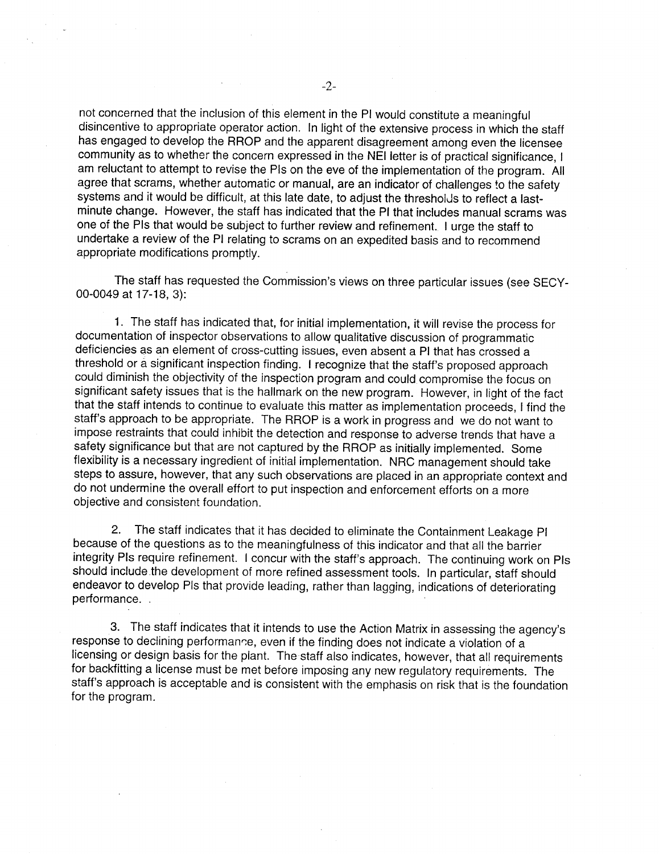not concerned that the inclusion of this element in the PI would constitute a meaningful disincentive to appropriate operator action. In light of the extensive process in which the staff has engaged to develop the RROP and the apparent disagreement among even the licensee community as to whether the concern expressed in the NEI letter is of practical significance, I am reluctant to attempt to revise the Pis on the eve of the implementation of the program. All agree that scrams, whether automatic or manual, are an indicator of challenges to the safety systems and it would be difficult, at this late date, to adjust the thresholds to reflect a last minute change. However, the staff has indicated that the PI that includes manual scrams was one of the PIs that would be subject to further review and refinement. I urge the staff to undertake a review of the PI relating to scrams on an expedited basis and to recommend appropriate modifications promptly.

The staff has requested the Commission's views on three particular issues (see SECY 00-0049 at 17-18, 3):

1. The staff has indicated that, for initial implementation, it will revise the process for documentation of inspector observations to allow qualitative discussion of programmatic deficiencies as an element of cross-cutting issues, even absent a PI that has crossed a threshold or a significant inspection finding. I recognize that the staff's proposed approach could diminish the objectivity of the inspection program and could compromise the focus on significant safety issues that is the hallmark on the new program. However, in light of the fact that the staff intends to continue to evaluate this matter as implementation proceeds, I find the staff's approach to be appropriate. The RROP is a work in progress and we do not want to impose restraints that could inhibit the detection and response to adverse trends that have a safety significance but that are not captured by the RROP as initially implemented. Some flexibility is a necessary ingredient of initial implementation. NRC management should take steps to assure, however, that any such observations are placed in an appropriate context and do not undermine the overall effort to put inspection and enforcement efforts on a more objective and consistent foundation.

2. The staff indicates that it has decided to eliminate the Containment Leakage PI because of the questions as to the meaningfulness of this indicator and that all the barrier integrity PIs require refinement. I concur with the staff's approach. The continuing work on PIs should include the development of more refined assessment tools. In particular, staff should endeavor to develop PIs that provide leading, rather than lagging, indications of deteriorating performance.

3. The staff indicates that it intends to use the Action Matrix in assessing the agency's response to declining performance, even if the finding does not indicate a violation of a licensing or design basis for the plant. The staff also indicates, however, that all requirements for backfitting a license must be met before imposing any new regulatory requirements. The staff's approach is acceptable and is consistent with the emphasis on risk that is the foundation for the program.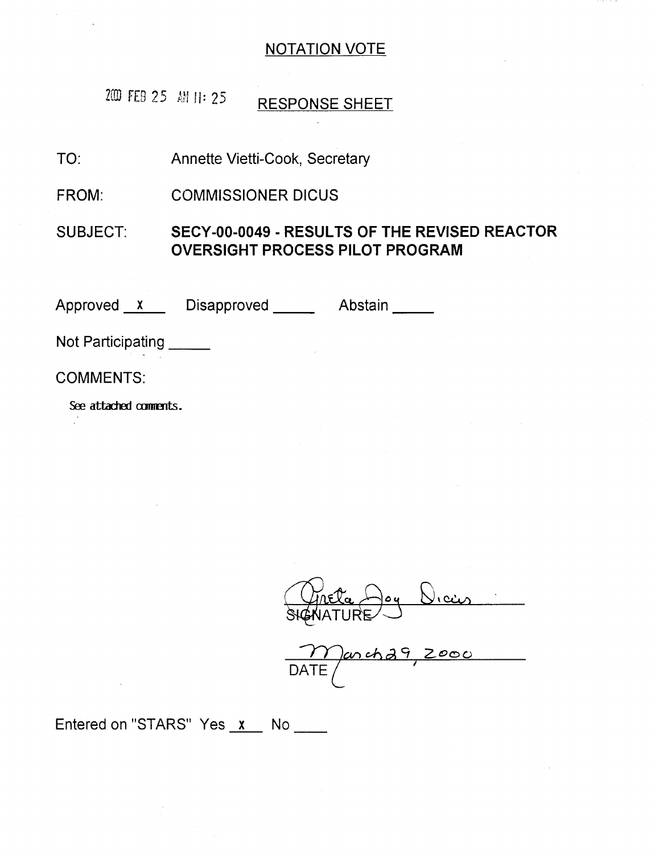200 FEB 25 **MII**: 25 RESPONSE SHEET

TO: Annette Vietti-Cook, Secretary

FROM: COMMISSIONER DICUS

SUBJECT: SECY-00-0049 - **RESULTS** OF THE REVISED REACTOR OVERSIGHT **PROCESS** PILOT PROGRAM

Approved <u>x</u> Disapproved Abstair

Not Participating

COMMENTS:

See attached comments.

iý **%** *C44A*

DATE / <u>zoo</u>  $\subset$ 

Entered on "STARS" Yes  $x$  No \_\_\_\_\_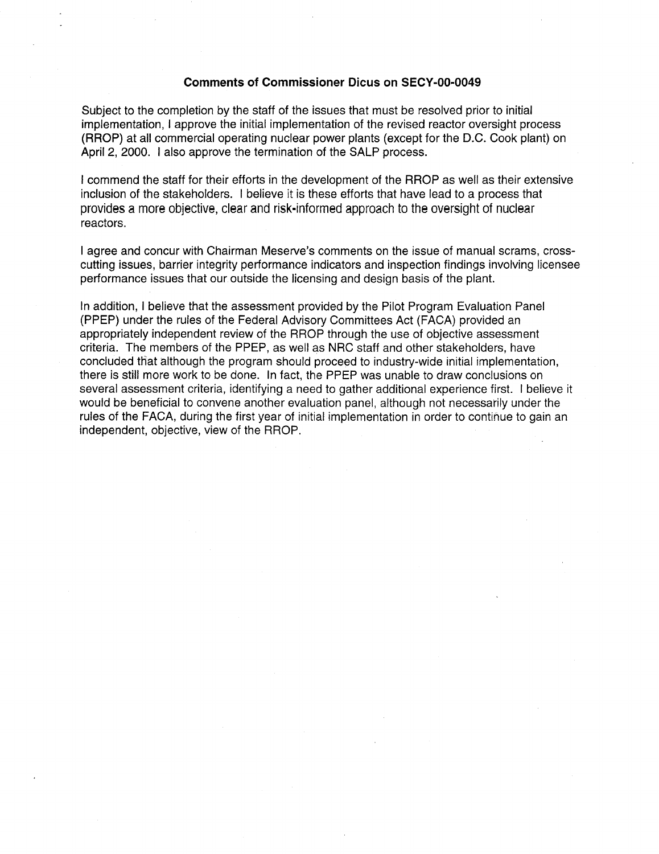### Comments of Commissioner Dicus on SECY-00-0049

Subject to the completion by the staff of the issues that must be resolved prior to initial implementation, I approve the initial implementation of the revised reactor oversight process (RROP) at all commercial operating nuclear power plants (except for the D.C. Cook plant) on April 2, 2000. I also approve the termination of the SALP process.

I commend the staff for their efforts in the development of the RROP as well as their extensive inclusion of the stakeholders. I believe it is these efforts that have lead to a process that provides a more objective, clear and risk-informed approach to the oversight of nuclear reactors.

I agree and concur with Chairman Meserve's comments on the issue of manual scrams, cross cutting issues, barrier integrity performance indicators and inspection findings involving licensee performance issues that our outside the licensing and design basis of the plant.

In addition, I believe that the assessment provided by the Pilot Program Evaluation Panel (PPEP) under the rules of the Federal Advisory Committees Act (FACA) provided an appropriately independent review of the RROP through the use of objective assessment criteria. The members of the PPEP, as well as NRC staff and other stakeholders, have concluded that although the program should proceed to industry-wide initial implementation, there is still more work to be done. In fact, the PPEP was unable to draw conclusions on several assessment criteria, identifying a need to gather additional experience first. I believe it would be beneficial to convene another evaluation panel, although not necessarily under the rules of the FACA, during the first year of initial implementation in order to continue to gain an independent, objective, view of the RROP.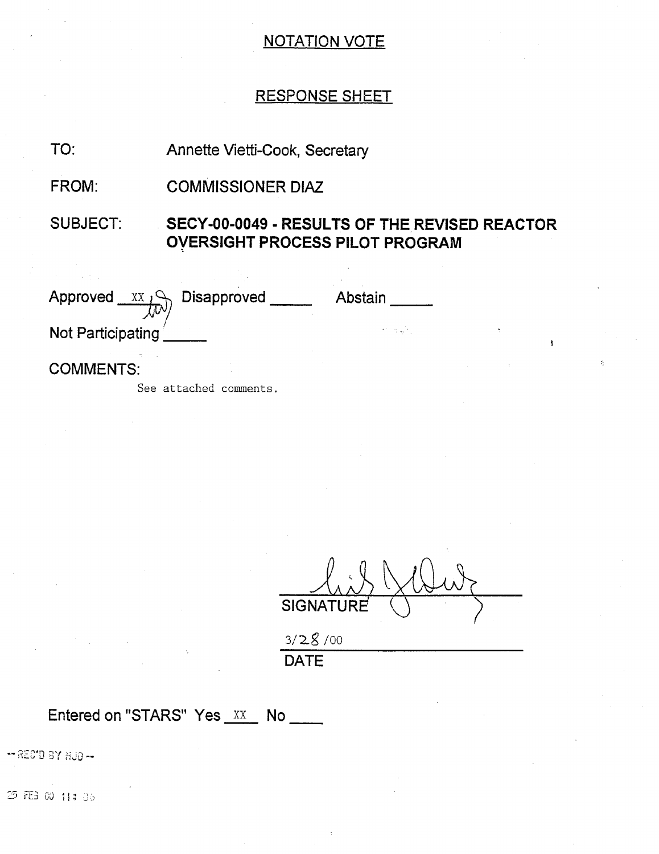## RESPONSE SHEET

Annette Vietti-Cook, Secretary TO:

COMMISSIONER DIAZ FROM:

SUBJECT: SECY-00-0049 - RESULTS OF THE REVISED REACTOR OVERSIGHT PROCESS PILOT PROGRAM

| Approved<br>$\sim$ XX $\sim$<br>$\hbar$ $\vee$ | Disapproved | Abstain |
|------------------------------------------------|-------------|---------|
| Not Participating                              |             |         |
| <b>COMMENTS:</b>                               |             |         |

See attached comments.

**SIGNATURE** 

ķ

**3/2•9/00**  DATE

Entered on "STARS" Yes XX No \_\_\_\_

-- REC'D BY HUD --

25 记 00 11:36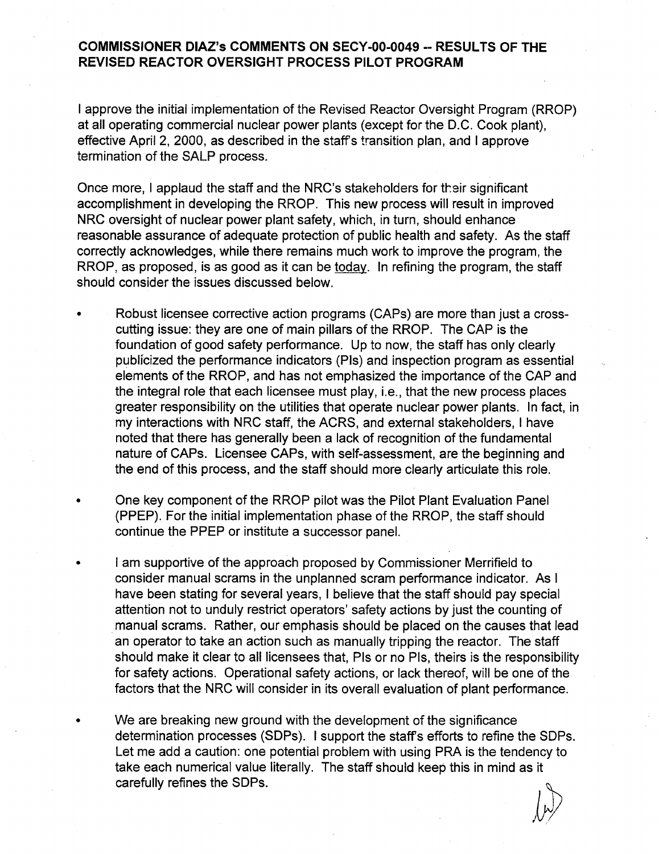## **COMMISSIONER** DIAZ's **COMMENTS ON** SECY-00-0049 -- **RESULTS** OF THE REVISED REACTOR OVERSIGHT **PROCESS** PILOT PROGRAM

I approve the initial implementation of the Revised Reactor Oversight Program (RROP) at all operating commercial nuclear power plants (except for the D.C. Cook plant), effective April 2, 2000, as described in the staffs transition plan, and I approve termination of the SALP process.

Once more, I applaud the staff and the NRC's stakeholders for their significant accomplishment in developing the RROP. This new process will result in improved NRC oversight of nuclear power plant safety, which, in turn, should enhance reasonable assurance of adequate protection of public health and safety. As the staff correctly acknowledges, while there remains much work to improve the program, the RROP, as proposed, is as good as it can be today. In refining the program, the staff should consider the issues discussed below.

- Robust licensee corrective action programs (CAPs) are more than just a cross cutting issue: they are one of main pillars of the RROP. The CAP is the foundation of good safety performance. Up to now, the staff has only clearly publicized the performance indicators (Pis) and inspection program as essential elements of the RROP, and has not emphasized the importance of the CAP and the integral role that each licensee must play, i.e., that the new process places greater responsibility on the utilities that operate nuclear power plants. In fact, in my interactions with NRC staff, the ACRS, and external stakeholders, I have noted that there has generally been a lack of recognition of the fundamental nature of CAPs. Licensee CAPs, with self-assessment, are the beginning and the end of this process, and the staff should more clearly articulate this role.
- One key component of the RROP pilot was the Pilot Plant Evaluation Panel (PPEP). For the initial implementation phase of the RROP, the staff should continue the PPEP or institute a successor panel.
- I am supportive of the approach proposed by Commissioner Merrifield to consider manual scrams in the unplanned scram performance indicator. As I have been stating for several years, I believe that the staff should pay special attention not to unduly restrict operators' safety actions by just the counting of manual scrams. Rather, our emphasis should be placed on the causes that lead an operator to take an action such as manually tripping the reactor. The staff should make it clear to all licensees that, PIs or no PIs, theirs is the responsibility for safety actions. Operational safety actions, or lack thereof, will be one of the factors that the NRC will consider in its overall evaluation of plant performance.
- We are breaking new ground with the development of the significance determination processes (SDPs). I support the staffs efforts to refine the SDPs. Let me add a caution: one potential problem with using PRA is the tendency to take each numerical value literally. The staff should keep this in mind as it carefully refines the SDPs.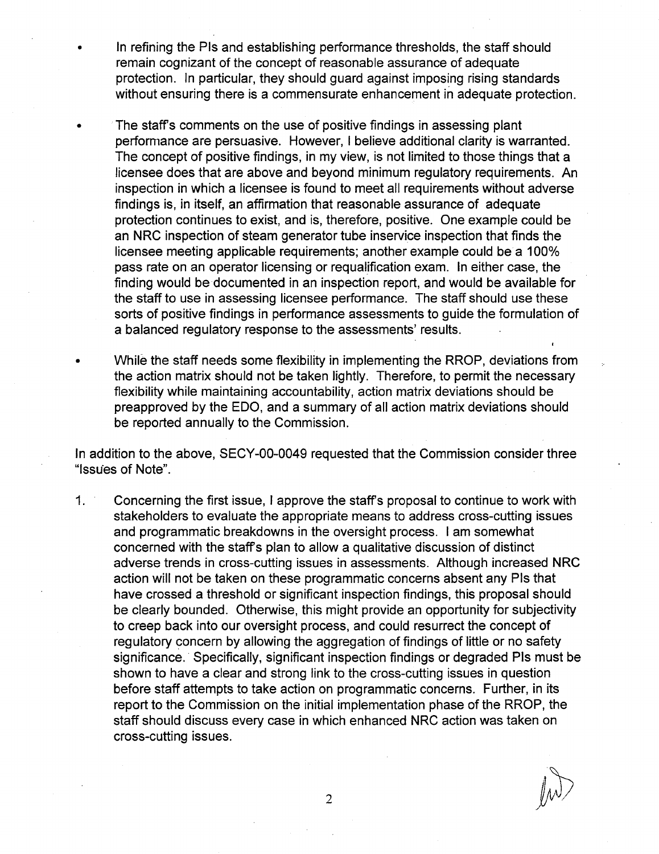- In refining the Pis and establishing performance thresholds, the staff should remain cognizant of the concept of reasonable assurance of adequate protection. In particular, they should guard against imposing rising standards without ensuring there is a commensurate enhancement in adequate protection.
- The staffs comments on the use of positive findings in assessing plant performance are persuasive. However, I believe additional clarity is warranted. The concept of positive findings, in my view, is not limited to those things that a licensee does that are above and beyond minimum regulatory requirements. An inspection in which a licensee is found to meet all requirements without adverse findings is, in itself, an affirmation that reasonable assurance of adequate protection continues to exist, and is, therefore, positive. One example could be an NRC inspection of steam generator tube inservice inspection that finds the licensee meeting applicable requirements; another example could be a 100% pass rate on an operator licensing or requalification exam. In either case, the finding would be documented in an inspection report, and would be available for the staff to use in assessing licensee performance. The staff should use these sorts of positive findings in performance assessments to guide the formulation of a balanced regulatory response to the assessments' results.
- While the staff needs some flexibility in implementing the RROP, deviations from the action matrix should not be taken lightly. Therefore, to permit the necessary flexibility while maintaining accountability, action matrix deviations should be preapproved by the EDO, and a summary of all action matrix deviations should be reported annually to the Commission,

In addition to the above, SECY-00-0049 requested that the Commission consider three "Issues of Note".

**1 .** Concerning the first issue, I approve the staffs proposal to continue to work with stakeholders to evaluate the appropriate means to address cross-cutting issues and programmatic breakdowns in the oversight process. I am somewhat concerned with the staff s plan to allow a qualitative discussion of distinct adverse trends in cross-cutting issues in assessments. Although increased NRC action will not be taken on these programmatic concerns absent any PIs that have crossed a threshold or significant inspection findings, this proposal should be clearly bounded. Otherwise, this might provide an opportunity for subjectivity to creep back into our oversight process, and could resurrect the concept of regulatory concern by allowing the aggregation of findings of little or no safety significance. Specifically, significant inspection findings or degraded PIs must be shown to have a clear and strong link to the cross-cutting issues in question before staff attempts to take action on programmatic concerns. Further, in its report to the Commission on the initial implementation phase of the RROP, the staff should discuss every case in which enhanced NRC action was taken on cross-cutting issues.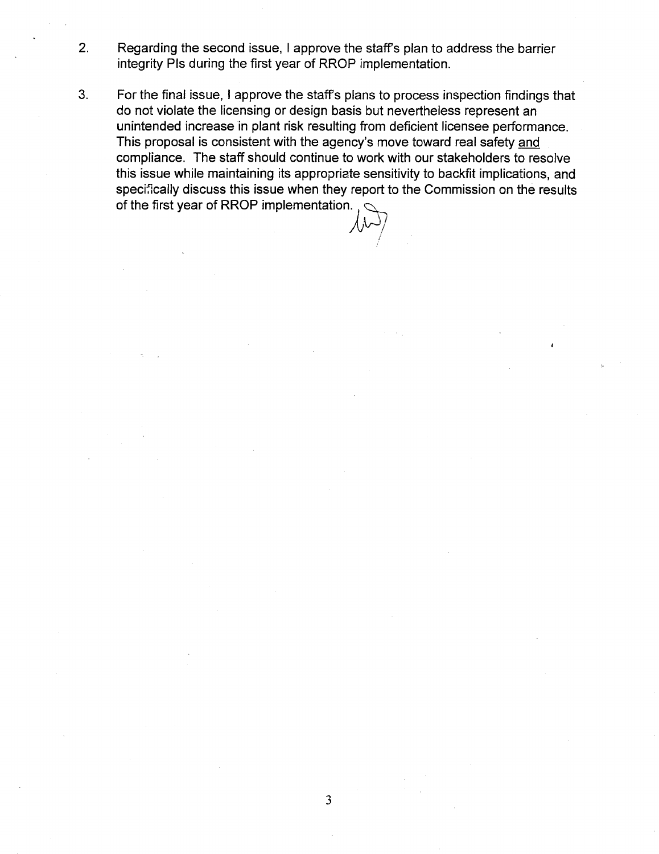- 2. Regarding the second issue, I approve the staffs plan to address the barrier integrity Pis during the first year of RROP implementation.
- 3. For the final issue, I approve the staffs plans to process inspection findings that do not violate the licensing or design basis but nevertheless represent an unintended increase in plant risk resulting from deficient licensee performance. This proposal is consistent with the agency's move toward real safety and compliance. The staff should continue to work with our stakeholders to resolve this issue while maintaining its appropriate sensitivity to backfit implications, and specifically discuss this issue when they report to the Commission on the results of the first year of RROP implementation.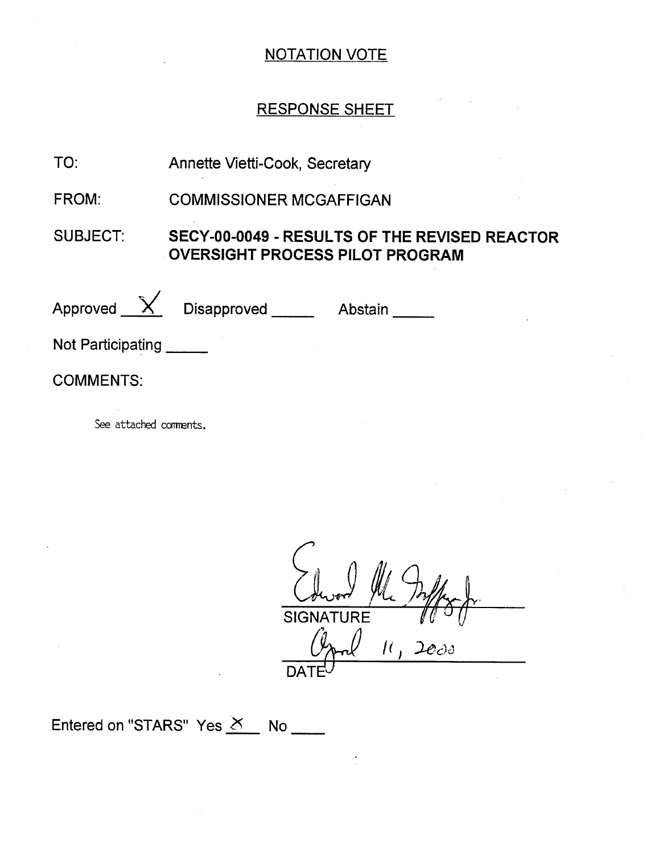# RESPONSE SHEET

#### Annette Vietti-Cook, Secretary TO:

COMMISSIONER MCGAFFIGAN FROM:

#### SUBJECT: SECY-00-0049 - RESULTS OF THE REVISED REACTOR OVERSIGHT PROCESS PILOT PROGRAM

Approved  $\chi$ Disapproved **Abstain** 

Not Participating

COMMENTS:

See attached comments.

 $\overline{\zeta}$  $\frac{1}{2}$ پ<br>1 **SIGNATURE**  $11, 2000$  $\overline{\mathsf{DATE}^{\bigcup}}$ 

Entered on "STARS" Yes  $X$  No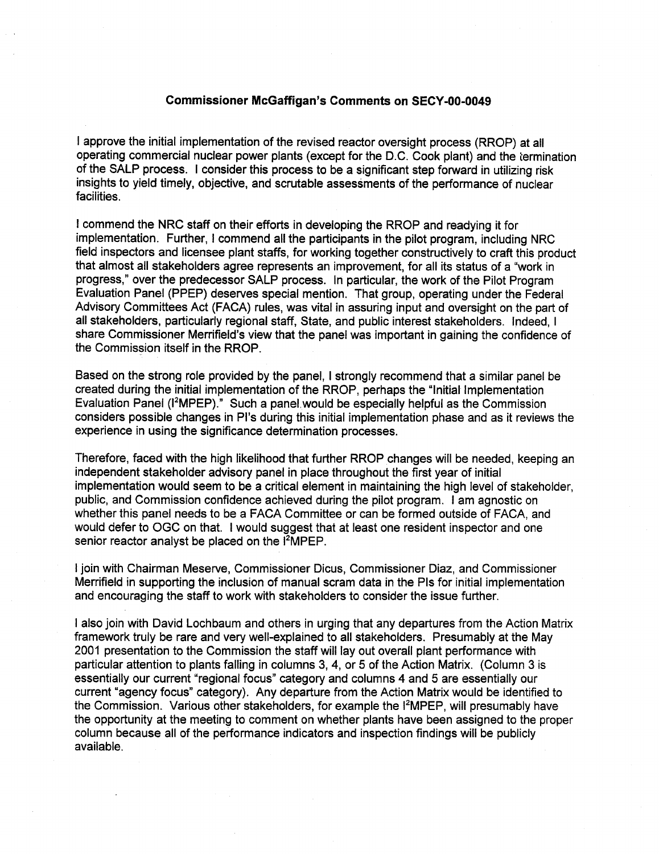### Commissioner McGaffigan's Comments on SECY-00-0049

I approve the initial implementation of the revised reactor oversight process (RROP) at all operating commercial nuclear power plants (except for the D.C. Cook plant) and the iermination of the SALP process. I consider this process to be a significant step forward in utilizing risk insights to yield timely, objective, and scrutable assessments of the performance of nuclear facilities.

I commend the NRC staff on their efforts in developing the RROP and readying it for implementation. Further, I commend all the participants in the pilot program, including NRC field inspectors and licensee plant staffs, for working together constructively to craft this product that almost all stakeholders agree represents an improvement, for all its status of a "work in progress," over the predecessor SALP process. In particular, the work of the Pilot Program Evaluation Panel (PPEP) deserves special mention. That group, operating under the Federal Advisory Committees Act (FACA) rules, was vital in assuring input and oversight on the part of all stakeholders, particularly regional staff, State, and public interest stakeholders. Indeed, I share Commissioner Merrifield's view that the panel was important in gaining the confidence of the Commission itself in the RROP.

Based on the strong role provided by the panel, I strongly recommend that a similar panel be created during the initial implementation of the RROP, perhaps the "Initial Implementation Evaluation Panel (I<sup>2</sup>MPEP)." Such a panel would be especially helpful as the Commission considers possible changes in Pi's during this initial implementation phase and as it reviews the experience in using the significance determination processes.

Therefore, faced with the high likelihood that further RROP changes will be needed, keeping an independent stakeholder advisory panel in place throughout the first year of initial implementation would seem to be a critical element in maintaining the high level of stakeholder, public, and Commission confidence achieved during the pilot program. I am agnostic on whether this panel needs to be a FACA Committee or can be formed outside of FACA, and would defer to OGC on that. I would suggest that at least one resident inspector and one senior reactor analyst be placed on the <sup>12</sup>MPEP.

I join with Chairman Meserve, Commissioner Dicus, Commissioner Diaz, and Commissioner Merrifield in supporting the inclusion of manual scram data in the PIs for initial implementation and encouraging the staff to work with stakeholders to consider the issue further.

I also join with David Lochbaum and others in urging that any departures from the Action Matrix framework truly be rare and very well-explained to all stakeholders. Presumably at the May 2001 presentation to the Commission the staff will lay out overall plant performance with particular attention to plants falling in columns 3, 4, or 5 of the Action Matrix. (Column 3 is essentially our current "regional focus" category and columns 4 and 5 are essentially our current "agency focus" category). Any departure from the Action Matrix would be identified to the Commission. Various other stakeholders, for example the I<sup>2</sup>MPEP, will presumably have the opportunity at the meeting to comment on whether plants have been assigned to the proper column because all of the performance indicators and inspection findings will be publicly available.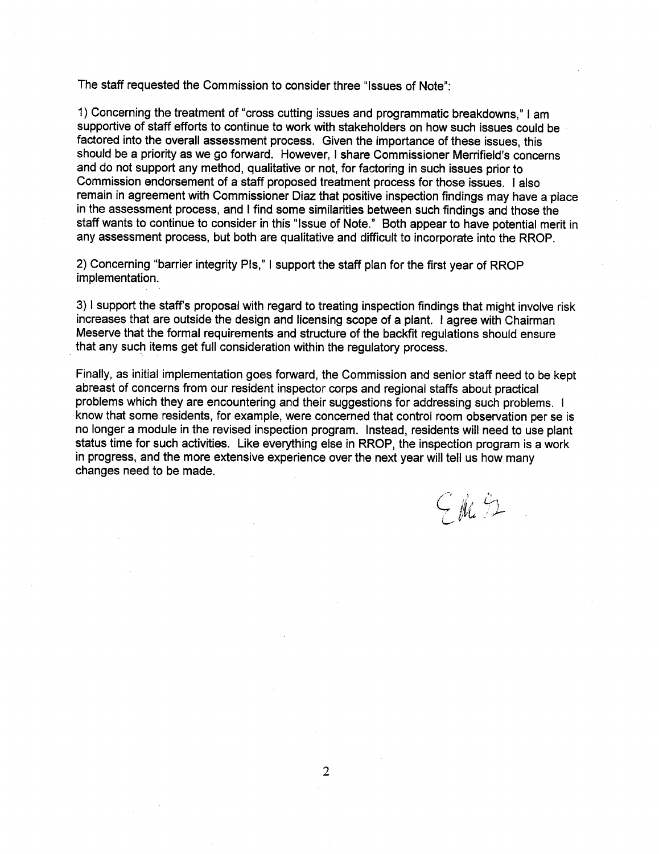The staff requested the Commission to consider three "Issues of Note":

1) Concerning the treatment of "cross cutting issues and programmatic breakdowns," I am supportive of staff efforts to continue to work with stakeholders on how such issues could be factored into the overall assessment process. Given the importance of these issues, this should be a priority as we go forward. However, I share Commissioner Merrifield's concerns and do not support any method, qualitative or not, for factoring in such issues prior to Commission endorsement of a staff proposed treatment process for those issues. I also remain in agreement with Commissioner Diaz that positive inspection findings may have a place in the assessment process, and I find some similarities between such findings and those the staff wants to continue to consider in this "Issue of Note." Both appear to have potential merit in any assessment process, but both are qualitative and difficult to incorporate into the RROP.

2) Concerning "barrier integrity PIs," I support the staff plan for the first year of RROP implementation.

3) I support the staff's proposal with regard to treating inspection findings that might involve risk increases that are outside the design and licensing scope of a plant. I agree with Chairman Meserve that the formal requirements and structure of the backfit regulations should ensure that any such items get full consideration within the regulatory process.

Finally, as initial implementation goes forward, the Commission and senior staff need to be kept problems which they are encountering and their suggestions for addressing such problems. I know that some residents, for example, were concerned that control room observation per se is no longer a module in the revised inspection program. Instead, residents will need to use plant status time for such activities. Like everything else in RROP, the inspection program is a work in progress, and the more extensive experience over the next year will tell us how many changes need to be made.

 $GmB$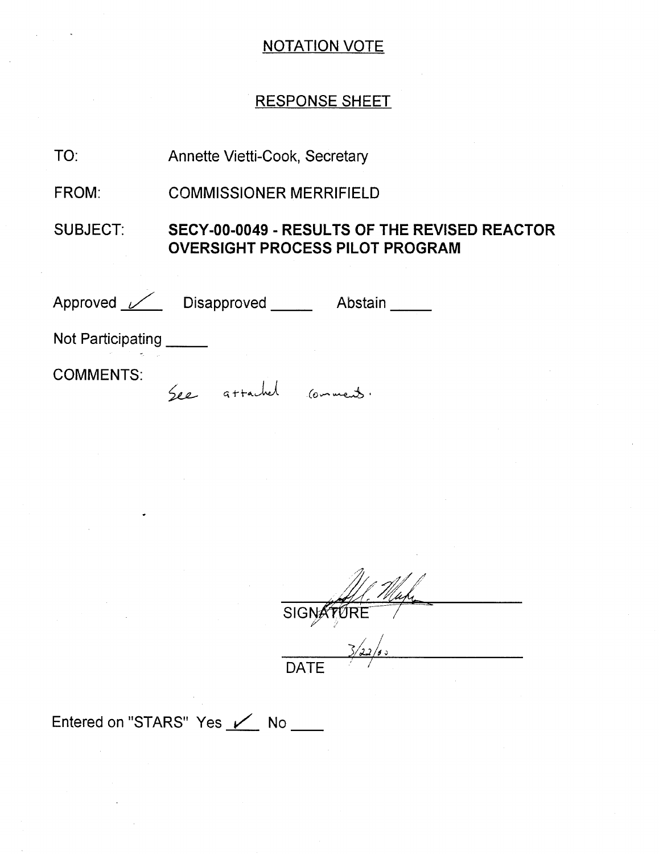# RESPONSE SHEET

TO: Annette Vietti-Cook, Secretary

FROM: COMMISSIONER MERRIFIELD

SUBJECT: SECY-00-0049 - **RESULTS** OF THE REVISED REACTOR OVERSIGHT **PROCESS** PILOT PROGRAM

Approved Contain Disapproved Abstain

See attached comments.

Not Participating \_\_\_\_\_

COMMENTS:

 $\overline{\text{SIGN}}$ 

DATE

Entered on "STARS" Yes / No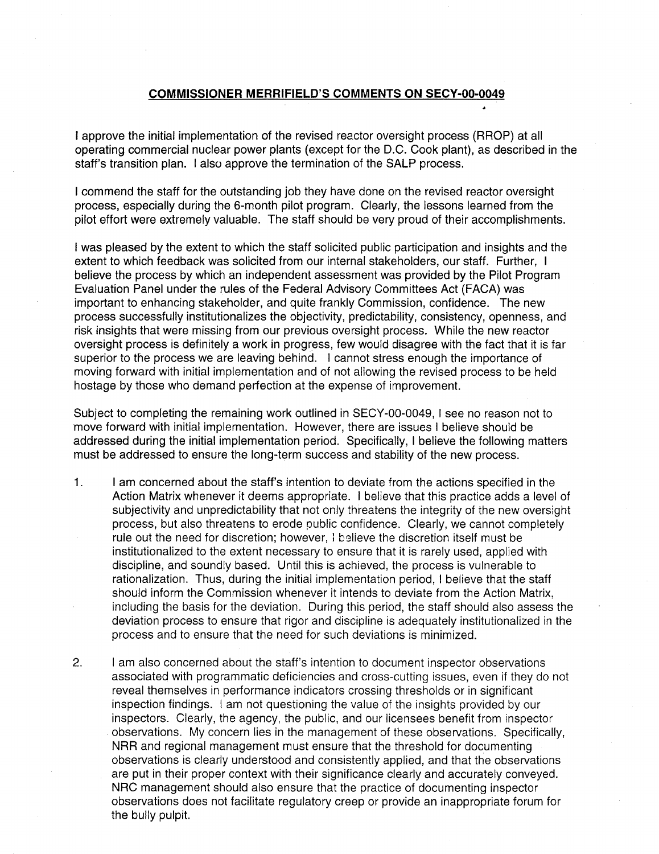### **COMMISSIONER** MERRIFIELD'S **COMMENTS ON** SECY-00-0049

I approve the initial implementation of the revised reactor oversight process (RROP) at all operating commercial nuclear power plants (except for the D.C. Cook plant), as described in the staff's transition plan. I also approve the termination of the SALP process.

I commend the staff for the outstanding job they have done on the revised reactor oversight process, especially during the 6-month pilot program. Clearly, the lessons learned from the pilot effort were extremely valuable. The staff should be very proud of their accomplishments.

I was pleased by the extent to which the staff solicited public participation and insights and the extent to which feedback was solicited from our internal stakeholders, our staff. Further, I believe the process by which an independent assessment was provided by the Pilot Program Evaluation Panel under the rules of the Federal Advisory Committees Act (FACA) was important to enhancing stakeholder, and quite frankly Commission, confidence. The new process successfully institutionalizes the objectivity, predictability, consistency, openness, and risk insights that were missing from our previous oversight process. While the new reactor oversight process is definitely a work in progress, few would disagree with the fact that it is far superior to the process we are leaving behind. I cannot stress enough the importance of moving forward with initial implementation and of not allowing the revised process to be held hostage by those who demand perfection at the expense of improvement.

Subject to completing the remaining work outlined in SECY-00-0049, I see no reason not to move forward with initial implementation. However, there are issues I believe should be addressed during the initial implementation period. Specifically, I believe the following matters must be addressed to ensure the long-term success and stability of the new process.

- 1. I am concerned about the staff's intention to deviate from the actions specified in the Action Matrix whenever it deems appropriate. I believe that this practice adds a level of subjectivity and unpredictability that not only threatens the integrity of the new oversight process, but also threatens to erode public confidence. Clearly, we cannot completely rule out the need for discretion; however, **1** believe the discretion itself must be institutionalized to the extent necessary to ensure that it is rarely used, applied with discipline, and soundly based. Until this is achieved, the process is vulnerable to rationalization. Thus, during the initial implementation period, I believe that the staff should inform the Commission whenever it intends to deviate from the Action Matrix, including the basis for the deviation. During this period, the staff should also assess the deviation process to ensure that rigor and discipline is adequately institutionalized in the process and to ensure that the need for such deviations is minimized.
- 2. I am also concerned about the staff's intention to document inspector observations associated with programmatic deficiencies and cross-cutting issues, even if they do not reveal themselves in performance indicators crossing thresholds or in significant inspection findings. I am not questioning the value of the insights provided by our inspectors. Clearly, the agency, the public, and our licensees benefit from inspector observations. My concern lies in the management of these observations. Specifically, NRR and regional management must ensure that the threshold for documenting observations is clearly understood and consistently applied, and that the observations are put in their proper context with their significance clearly and accurately conveyed. NRC management should also ensure that the practice of documenting inspector observations does not facilitate regulatory creep or provide an inappropriate forum for the bully pulpit.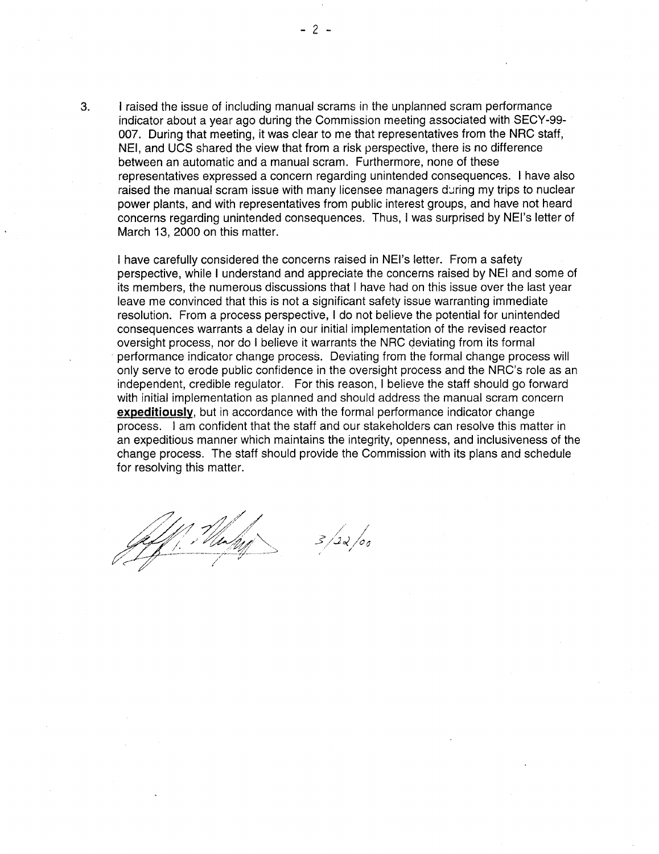3. I raised the issue of including manual scrams in the unplanned scram performance indicator about a year ago during the Commission meeting associated with SECY-99 007. During that meeting, it was clear to me that representatives from the NRC staff, NEI, and UCS shared the view that from a risk perspective, there is no difference between an automatic and a manual scram. Furthermore, none of these representatives expressed a concern regarding unintended consequences. I have also raised the manual scram issue with many licensee managers during my trips to nuclear power plants, and with representatives from public interest groups, and have not heard concerns regarding unintended consequences. Thus, I was surprised by NEI's letter of March 13, 2000 on this matter.

I have carefully considered the concerns raised in NEI's letter. From a safety perspective, while I understand and appreciate the concerns raised by NEI and some of its members, the numerous discussions that I have had on this issue over the last year leave me convinced that this is not a significant safety issue warranting immediate resolution. From a process perspective, I do not believe the potential for unintended consequences warrants a delay in our initial implementation of the revised reactor oversight process, nor do I believe it warrants the NRC deviating from its formal performance indicator change process. Deviating from the formal change process will only serve to erode public confidence in the oversight process and the NRC's role as an independent, credible regulator. For this reason, I believe the staff should go forward with initial implementation as planned and should address the manual scram concern expeditiously, but in accordance with the formal performance indicator change process. I am confident that the staff and our stakeholders can resolve this matter in an expeditious manner which maintains the integrity, openness, and inclusiveness of the change process. The staff should provide the Commission with its plans and schedule for resolving this matter.

**JI <sup>7</sup>**

**-2-**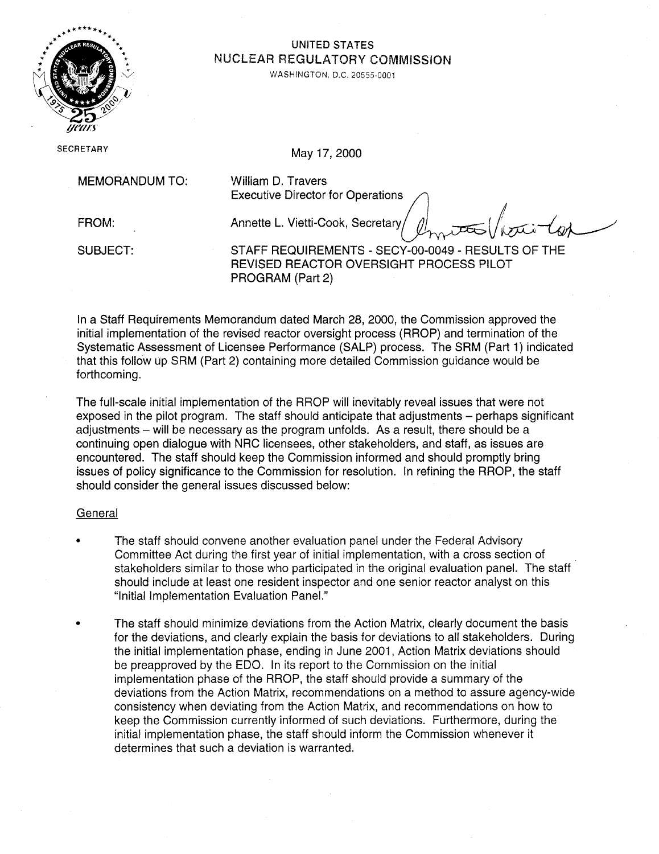

# UNITED STATES<br>NUCLEAR REGULATORY COMMISSION

. WASHINGTON. D.C. **20555-0001** 

SECRETARY May 17, 2000

MEMORANDUM TO: William D. Travers

Executive Director for Operations

FROM: Annette L. Vietti-Cook, Secretary SUBJECT: STAFF REQUIREMENTS - SECY-00-0049 - RESULTS OF THE REVISED REACTOR OVERSIGHT PROCESS PILOT PROGRAM (Part 2)

In a Staff Requirements Memorandum dated March 28, 2000, the Commission approved the initial implementation of the revised reactor oversight process (RROP) and termination of the Systematic Assessment of Licensee Performance (SALP) process. The SRM (Part 1) indicated that this follow **up** SRM (Part 2) containing more detailed Commission guidance would be forthcoming.

The full-scale initial implementation of the RROP will inevitably reveal issues that were not exposed in the pilot program. The staff should anticipate that adjustments – perhaps significant adjustments - will be necessary as the program unfolds. As a result, there should be a continuing open dialogue with NRC licensees, other stakeholders, and staff, as issues are encountered. The staff should keep the Commission informed and should promptly bring issues of policy significance to the Commission for resolution. In refining the RROP, the staff should consider the general issues discussed below:

## General

- The staff should convene another evaluation panel under the Federal Advisory Committee Act during the first year of initial implementation, with a cross section of stakeholders similar to those who participated in the original evaluation panel. The staff should include at least one resident inspector and one senior reactor analyst on this "Initial Implementation Evaluation Panel."
- The staff should minimize deviations from the Action Matrix, clearly document the basis for the deviations, and clearly explain the basis for deviations to all stakeholders. During the initial implementation phase, ending in June 2001, Action Matrix deviations should be preapproved by the EDO. In its report to the Commission on the initial implementation phase of the RROP, the staff should provide a summary of the deviations from the Action Matrix, recommendations on a method to assure agency-wide consistency when deviating from the Action Matrix, and recommendations on how to keep the Commission currently informed of such deviations. Furthermore, during the initial implementation phase, the staff should inform the Commission whenever it determines that such a deviation is warranted.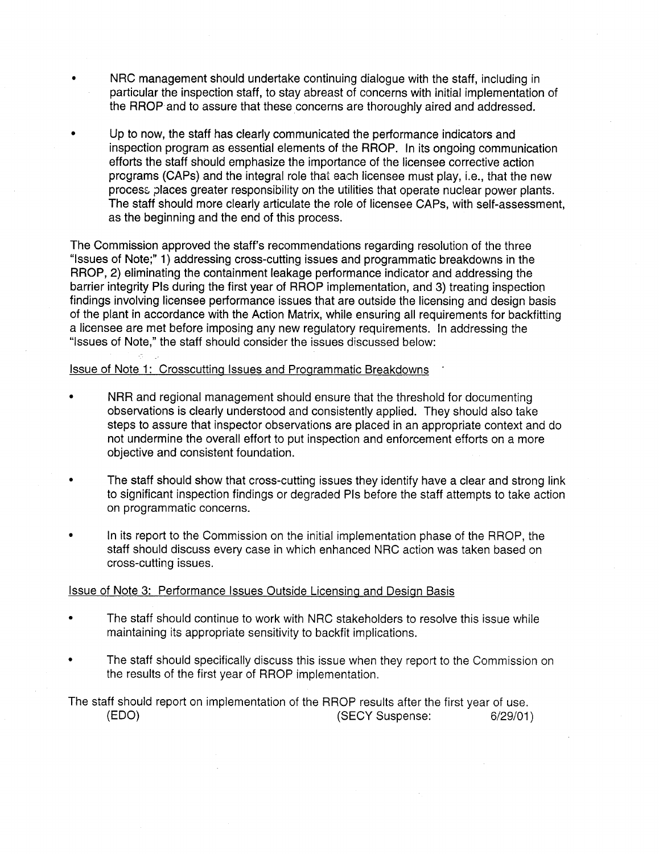- NRC management should undertake continuing dialogue with the staff, including in particular the inspection staff, to stay abreast of concerns with initial implementation of the RROP and to assure that these concerns are thoroughly aired and addressed.
- Up to now, the staff has clearly communicated the performance indicators and inspection program as essential elements of the RROP. In its ongoing communication efforts the staff should emphasize the importance of the licensee corrective action programs (CAPs) and the integral role that each licensee must play, i.e., that the new process places greater responsibility on the utilities that operate nuclear power plants. The staff should more clearly articulate the role of licensee CAPs, with self-assessment, as the beginning and the end of this process.

The Commission approved the staff's recommendations regarding resolution of the three "Issues of Note;" 1) addressing cross-cutting issues and programmatic breakdowns in the RROP, 2) eliminating the containment leakage performance indicator and addressing the barrier integrity PIs during the first year of RROP implementation, and 3) treating inspection findings involving licensee performance issues that are outside the licensing and design basis of the plant in accordance with the Action Matrix, while ensuring all requirements for backfitting a licensee are met before imposing any new regulatory requirements. In addressing the "Issues of Note," the staff should consider the issues discussed below:

### Issue of Note 1: Crosscutting Issues and Programmatic Breakdowns

- NRR and regional management should ensure that the threshold for documenting observations is clearly understood and consistently applied. They should also take steps to assure that inspector observations are placed in an appropriate context and do not undermine the overall effort to put inspection and enforcement efforts on a more objective and consistent foundation.
- The staff should show that cross-cutting issues they identify have a clear and strong link to significant inspection findings or degraded PIs before the staff attempts to take action on programmatic concerns.
- In its report to the Commission on the initial implementation phase of the RROP, the staff should discuss every case in which enhanced NRC action was taken based on cross-cutting issues.

#### Issue of Note 3: Performance Issues Outside Licensing and Design Basis

- The staff should continue to work with NRC stakeholders to resolve this issue while maintaining its appropriate sensitivity to backfit implications.
- The staff should specifically discuss this issue when they report to the Commission on the results of the first year of RROP implementation.

The staff should report on implementation of the RROP results after the first year of use. (EDO) (SECY Suspense: 6/29/01)